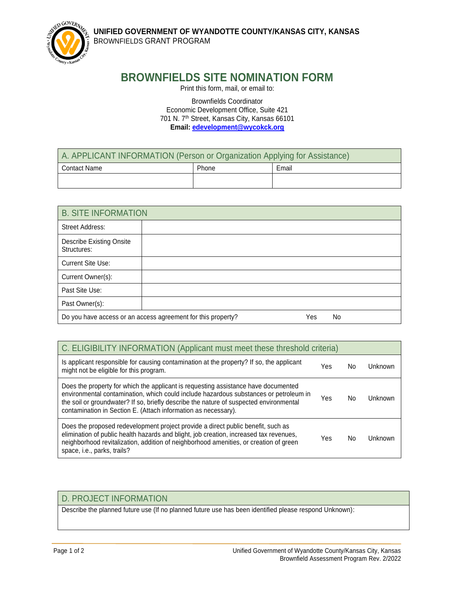**UNIFIED GOVERNMENT OF WYANDOTTE COUNTY/KANSAS CITY, KANSAS**  BROWNFIELDS GRANT PROGRAM



## **BROWNFIELDS SITE NOMINATION FORM**

Print this form, mail, or email to:

Brownfields Coordinator Economic Development Office, Suite 421 701 N. 7th Street, Kansas City, Kansas 66101 **Email: [edevelopment@wycokck.org](mailto:edevelopment@wycokck.org)** 

| A. APPLICANT INFORMATION (Person or Organization Applying for Assistance) |       |       |  |
|---------------------------------------------------------------------------|-------|-------|--|
| <b>Contact Name</b>                                                       | Phone | Email |  |
|                                                                           |       |       |  |

| <b>B. SITE INFORMATION</b>                     |                                                              |     |           |
|------------------------------------------------|--------------------------------------------------------------|-----|-----------|
| Street Address:                                |                                                              |     |           |
| <b>Describe Existing Onsite</b><br>Structures: |                                                              |     |           |
| <b>Current Site Use:</b>                       |                                                              |     |           |
| Current Owner(s):                              |                                                              |     |           |
| Past Site Use:                                 |                                                              |     |           |
| Past Owner(s):                                 |                                                              |     |           |
|                                                | Do you have access or an access agreement for this property? | Yes | <b>No</b> |

| C. ELIGIBILITY INFORMATION (Applicant must meet these threshold criteria)                                                                                                                                                                                                                                                               |     |    |           |  |
|-----------------------------------------------------------------------------------------------------------------------------------------------------------------------------------------------------------------------------------------------------------------------------------------------------------------------------------------|-----|----|-----------|--|
| Is applicant responsible for causing contamination at the property? If so, the applicant<br>might not be eligible for this program.                                                                                                                                                                                                     | Yes | No | Unknown   |  |
| Does the property for which the applicant is requesting assistance have documented<br>environmental contamination, which could include hazardous substances or petroleum in<br>the soil or groundwater? If so, briefly describe the nature of suspected environmental<br>contamination in Section E. (Attach information as necessary). | Yes | No | Unknown   |  |
| Does the proposed redevelopment project provide a direct public benefit, such as<br>elimination of public health hazards and blight, job creation, increased tax revenues,<br>neighborhood revitalization, addition of neighborhood amenities, or creation of green<br>space, i.e., parks, trails?                                      | Yes | No | l Inknown |  |

## D. PROJECT INFORMATION

Describe the planned future use (If no planned future use has been identified please respond Unknown):